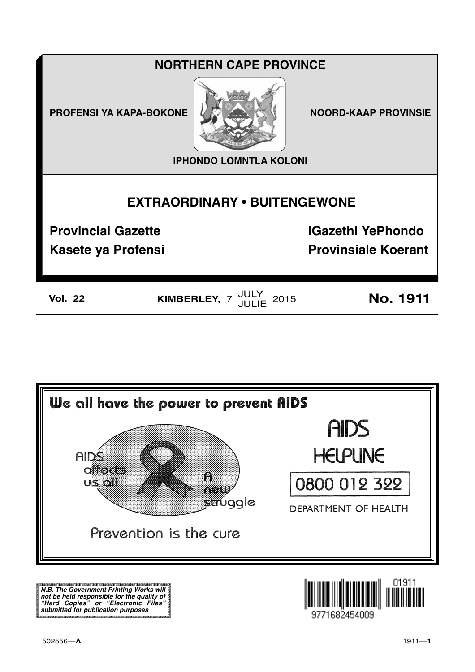# **NORTHERN CAPE PROVINCE**

**PROFENSI YA KAPA-BOKONE** 



**NOORD-KAAP PROVINSIE** 

**IPHONDO LOMNTLA KOLONI** 

# **EXTRAORDINARY . BUITENGEWONE**

**Provincial Gazette** 

**Kasete ya Profensi** 

**iGazethi YePhondo Provinsiale Koerant** 

| ۱<br>V<br>77<br>OI.<br>- | - |
|--------------------------|---|
|--------------------------|---|

KIMBERLEY,  $7 \frac{JULY}{JULIE}$  2015

**No. 1911** 



N.B. The Government Printing Works will iv.b. The Government Printing works will<br>not be held responsible for the quality of<br>"Hard" Copies" or "Electronic Files"<br>submitted for publication purposes

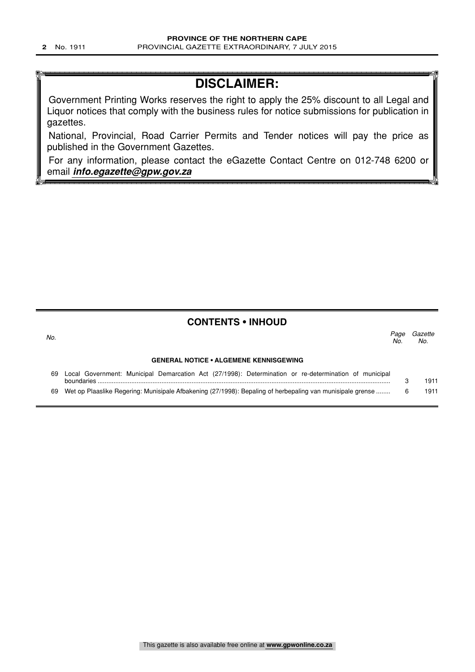# **DISCLAIMER:**

Government Printing Works reserves the right to apply the 25% discount to all Legal and Liquor notices that comply with the business rules for notice submissions for publication in gazettes.

National, Provincial, Road Carrier Permits and Tender notices will pay the price as published in the Government Gazettes.

For any information, please contact the eGazette Contact Centre on 012-748 6200 or email **info.egazette@gpw.gov.za**

### **CONTENTS • INHOUD**

| No.                                           |                                                                                                                            | Paae<br>No. | Gazette<br>No. |  |  |  |  |
|-----------------------------------------------|----------------------------------------------------------------------------------------------------------------------------|-------------|----------------|--|--|--|--|
| <b>GENERAL NOTICE • ALGEMENE KENNISGEWING</b> |                                                                                                                            |             |                |  |  |  |  |
| 69                                            | Local Government: Municipal Demarcation Act (27/1998): Determination or re-determination of municipal<br><b>boundaries</b> |             | 1911           |  |  |  |  |
| 69                                            | Wet op Plaaslike Regering: Munisipale Afbakening (27/1998): Bepaling of herbepaling van munisipale grense                  |             | 1911           |  |  |  |  |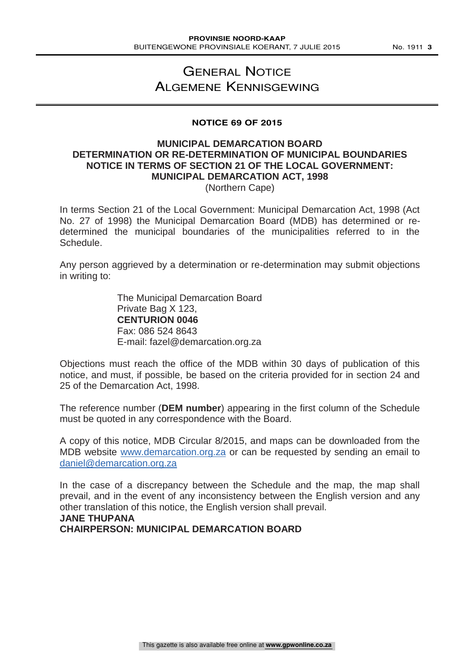## GENERAL NOTICE ALGEMENE KENNISGEWING

#### **NOTICE 69 OF 2015**

## **MUNICIPAL DEMARCATION BOARD DETERMINATION OR RE-DETERMINATION OF MUNICIPAL BOUNDARIES NOTICE IN TERMS OF SECTION 21 OF THE LOCAL GOVERNMENT: MUNICIPAL DEMARCATION ACT, 1998**

(Northern Cape)

In terms Section 21 of the Local Government: Municipal Demarcation Act, 1998 (Act No. 27 of 1998) the Municipal Demarcation Board (MDB) has determined or redetermined the municipal boundaries of the municipalities referred to in the Schedule.

Any person aggrieved by a determination or re-determination may submit objections in writing to:

> The Municipal Demarcation Board Private Bag X 123, **CENTURION 0046** Fax: 086 524 8643 E-mail: fazel@demarcation.org.za

Objections must reach the office of the MDB within 30 days of publication of this notice, and must, if possible, be based on the criteria provided for in section 24 and 25 of the Demarcation Act, 1998.

The reference number (**DEM number**) appearing in the first column of the Schedule must be quoted in any correspondence with the Board.

A copy of this notice, MDB Circular 8/2015, and maps can be downloaded from the MDB website www.demarcation.org.za or can be requested by sending an email to daniel@demarcation.org.za

In the case of a discrepancy between the Schedule and the map, the map shall prevail, and in the event of any inconsistency between the English version and any other translation of this notice, the English version shall prevail. **JANE THUPANA** 

**CHAIRPERSON: MUNICIPAL DEMARCATION BOARD**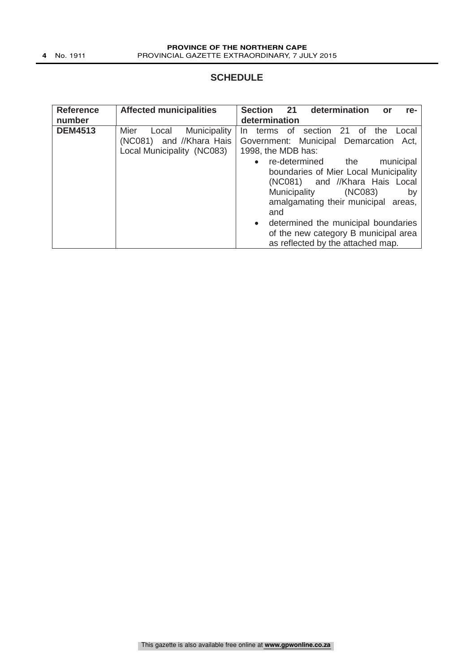### **SCHEDULE**

| <b>Reference</b><br>number | <b>Affected municipalities</b>                                                          | 21<br>determination<br><b>Section</b><br>or<br>re-<br>determination                                                                                                                                                                                                                                                         |
|----------------------------|-----------------------------------------------------------------------------------------|-----------------------------------------------------------------------------------------------------------------------------------------------------------------------------------------------------------------------------------------------------------------------------------------------------------------------------|
| <b>DEM4513</b>             | Municipality<br>Mier<br>Local<br>(NC081) and //Khara Hais<br>Local Municipality (NC083) | terms of<br>section 21 of<br>the<br>Local<br>In.<br>Government: Municipal Demarcation Act,<br>1998, the MDB has:                                                                                                                                                                                                            |
|                            |                                                                                         | re-determined the<br>municipal<br>$\bullet$<br>boundaries of Mier Local Municipality<br>(NC081) and //Khara Hais Local<br>Municipality<br>(NC083)<br>by<br>amalgamating their municipal areas,<br>and<br>• determined the municipal boundaries<br>of the new category B municipal area<br>as reflected by the attached map. |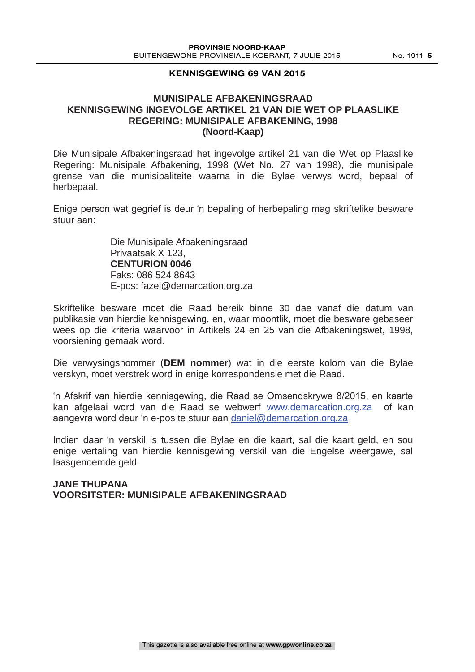#### **KENNISGEWING 69 VAN 2015**

### **MUNISIPALE AFBAKENINGSRAAD KENNISGEWING INGEVOLGE ARTIKEL 21 VAN DIE WET OP PLAASLIKE REGERING: MUNISIPALE AFBAKENING, 1998 (Noord-Kaap)**

Die Munisipale Afbakeningsraad het ingevolge artikel 21 van die Wet op Plaaslike Regering: Munisipale Afbakening, 1998 (Wet No. 27 van 1998), die munisipale grense van die munisipaliteite waarna in die Bylae verwys word, bepaal of herbepaal.

Enige person wat gegrief is deur 'n bepaling of herbepaling mag skriftelike besware stuur aan:

> Die Munisipale Afbakeningsraad Privaatsak X 123, **CENTURION 0046**  Faks: 086 524 8643 E-pos: fazel@demarcation.org.za

Skriftelike besware moet die Raad bereik binne 30 dae vanaf die datum van publikasie van hierdie kennisgewing, en, waar moontlik, moet die besware gebaseer wees op die kriteria waarvoor in Artikels 24 en 25 van die Afbakeningswet, 1998, voorsiening gemaak word.

Die verwysingsnommer (**DEM nommer**) wat in die eerste kolom van die Bylae verskyn, moet verstrek word in enige korrespondensie met die Raad.

'n Afskrif van hierdie kennisgewing, die Raad se Omsendskrywe 8/2015, en kaarte kan afgelaai word van die Raad se webwerf www.demarcation.org.za of kan aangevra word deur 'n e-pos te stuur aan daniel@demarcation.org.za

Indien daar 'n verskil is tussen die Bylae en die kaart, sal die kaart geld, en sou enige vertaling van hierdie kennisgewing verskil van die Engelse weergawe, sal laasgenoemde geld.

### **JANE THUPANA VOORSITSTER: MUNISIPALE AFBAKENINGSRAAD**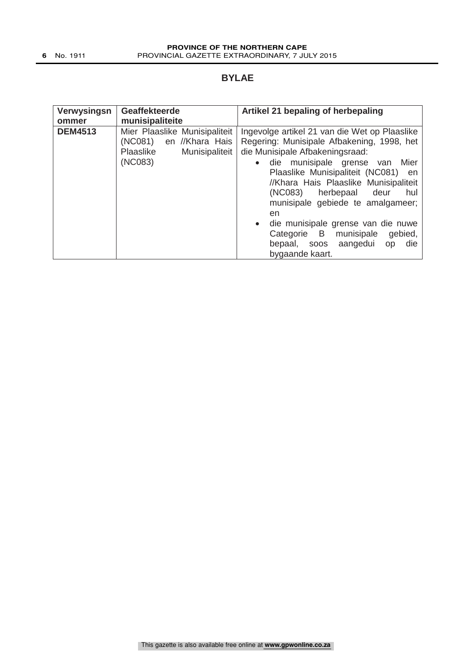### **BYLAE**

| Verwysingsn    | <b>Geaffekteerde</b>                                                                                  | Artikel 21 bepaling of herbepaling                                                                                                                                                                                                                                                                                                                                                                                                                                                             |
|----------------|-------------------------------------------------------------------------------------------------------|------------------------------------------------------------------------------------------------------------------------------------------------------------------------------------------------------------------------------------------------------------------------------------------------------------------------------------------------------------------------------------------------------------------------------------------------------------------------------------------------|
| ommer          | munisipaliteite                                                                                       |                                                                                                                                                                                                                                                                                                                                                                                                                                                                                                |
| <b>DEM4513</b> | Mier Plaaslike Munisipaliteit<br>(NC081)<br>en //Khara Hais<br>Plaaslike<br>Munisipaliteit<br>(NC083) | Ingevolge artikel 21 van die Wet op Plaaslike<br>Regering: Munisipale Afbakening, 1998, het<br>die Munisipale Afbakeningsraad:<br>munisipale grense van<br>Mier<br>die<br>$\bullet$<br>Plaaslike Munisipaliteit (NC081) en<br>//Khara Hais Plaaslike Munisipaliteit<br>(NC083)<br>herbepaal<br>deur<br>hul<br>munisipale gebiede te amalgameer;<br>en<br>• die munisipale grense van die nuwe<br>Categorie B munisipale<br>gebied,<br>aangedui<br>die<br>bepaal, soos<br>op<br>bygaande kaart. |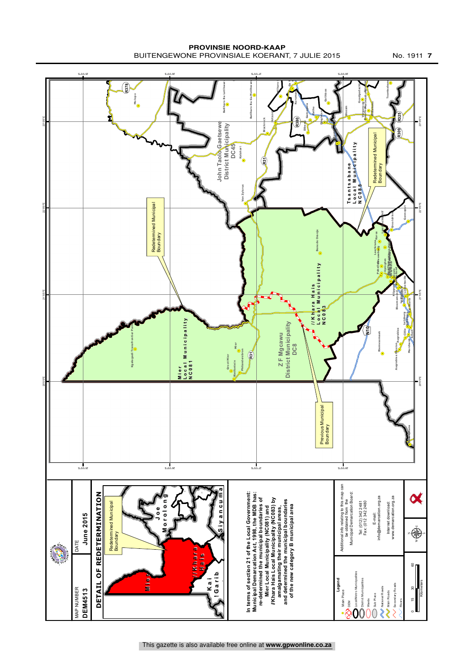**PROVINSIE NOORD-KAAP** BUITENGEWONE PROVINSIALE KOERANT, 7 JULIE 2015